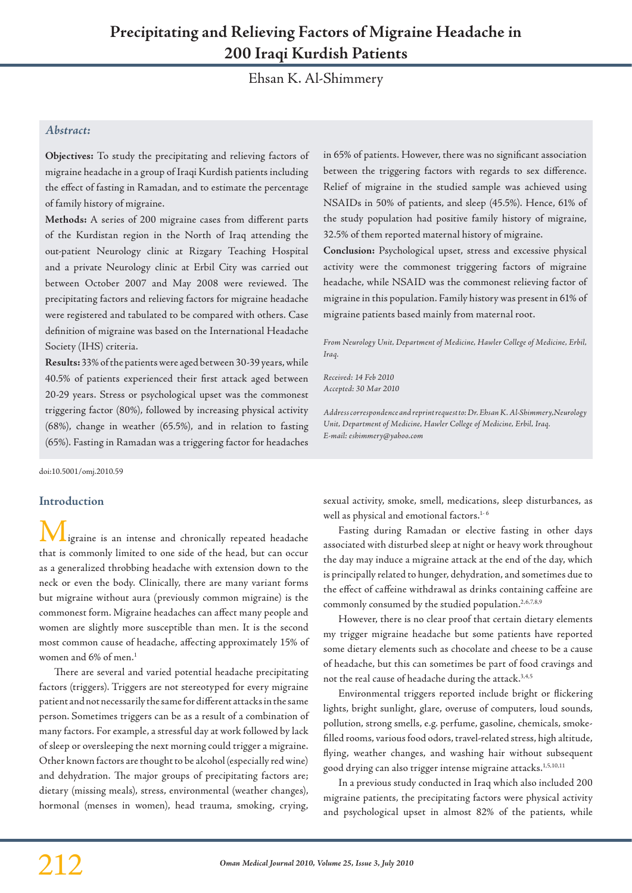# **Precipitating and Relieving Factors of Migraine Headache in 200 Iraqi Kurdish Patients**

Ehsan K. Al-Shimmery

## *Abstract:*

**Objectives:** To study the precipitating and relieving factors of migraine headache in a group of Iraqi Kurdish patients including the effect of fasting in Ramadan, and to estimate the percentage of family history of migraine.

**Methods:** A series of 200 migraine cases from different parts of the Kurdistan region in the North of Iraq attending the out-patient Neurology clinic at Rizgary Teaching Hospital and a private Neurology clinic at Erbil City was carried out between October 2007 and May 2008 were reviewed. The precipitating factors and relieving factors for migraine headache were registered and tabulated to be compared with others. Case definition of migraine was based on the International Headache Society (IHS) criteria.

**Results:** 33% of the patients were aged between 30-39 years, while 40.5% of patients experienced their first attack aged between 20-29 years. Stress or psychological upset was the commonest triggering factor (80%), followed by increasing physical activity (68%), change in weather (65.5%), and in relation to fasting (65%). Fasting in Ramadan was a triggering factor for headaches

doi:10.5001/omj.2010.59

#### **Introduction**

igraine is an intense and chronically repeated headache that is commonly limited to one side of the head, but can occur as a generalized throbbing headache with extension down to the neck or even the body. Clinically, there are many variant forms but migraine without aura (previously common migraine) is the commonest form. Migraine headaches can affect many people and women are slightly more susceptible than men. It is the second most common cause of headache, affecting approximately 15% of women and 6% of men.<sup>1</sup>

There are several and varied potential headache precipitating factors (triggers). Triggers are not stereotyped for every migraine patient and not necessarily the same for different attacks in the same person. Sometimes triggers can be as a result of a combination of many factors. For example, a stressful day at work followed by lack of sleep or oversleeping the next morning could trigger a migraine. Other known factors are thought to be alcohol (especially red wine) and dehydration. The major groups of precipitating factors are; dietary (missing meals), stress, environmental (weather changes), hormonal (menses in women), head trauma, smoking, crying,

in 65% of patients. However, there was no significant association between the triggering factors with regards to sex difference. Relief of migraine in the studied sample was achieved using NSAIDs in 50% of patients, and sleep (45.5%). Hence, 61% of the study population had positive family history of migraine, 32.5% of them reported maternal history of migraine.

**Conclusion:** Psychological upset, stress and excessive physical activity were the commonest triggering factors of migraine headache, while NSAID was the commonest relieving factor of migraine in this population. Family history was present in 61% of migraine patients based mainly from maternal root.

*From Neurology Unit, Department of Medicine, Hawler College of Medicine, Erbil, Iraq.*

*Received: 14 Feb 2010 Accepted: 30 Mar 2010*

*Address correspondence and reprint request to: Dr. Ehsan K. Al-Shimmery,Neurology Unit, Department of Medicine, Hawler College of Medicine, Erbil, Iraq. E-mail: eshimmery@yahoo.com*

sexual activity, smoke, smell, medications, sleep disturbances, as well as physical and emotional factors.<sup>1-6</sup>

Fasting during Ramadan or elective fasting in other days associated with disturbed sleep at night or heavy work throughout the day may induce a migraine attack at the end of the day, which is principally related to hunger, dehydration, and sometimes due to the effect of caffeine withdrawal as drinks containing caffeine are commonly consumed by the studied population.<sup>2,6,7,8,9</sup>

However, there is no clear proof that certain dietary elements my trigger migraine headache but some patients have reported some dietary elements such as chocolate and cheese to be a cause of headache, but this can sometimes be part of food cravings and not the real cause of headache during the attack.<sup>3,4,5</sup>

Environmental triggers reported include bright or flickering lights, bright sunlight, glare, overuse of computers, loud sounds, pollution, strong smells, e.g. perfume, gasoline, chemicals, smokefilled rooms, various food odors, travel-related stress, high altitude, flying, weather changes, and washing hair without subsequent good drying can also trigger intense migraine attacks.<sup>1,5,10,11</sup>

In a previous study conducted in Iraq which also included 200 migraine patients, the precipitating factors were physical activity and psychological upset in almost 82% of the patients, while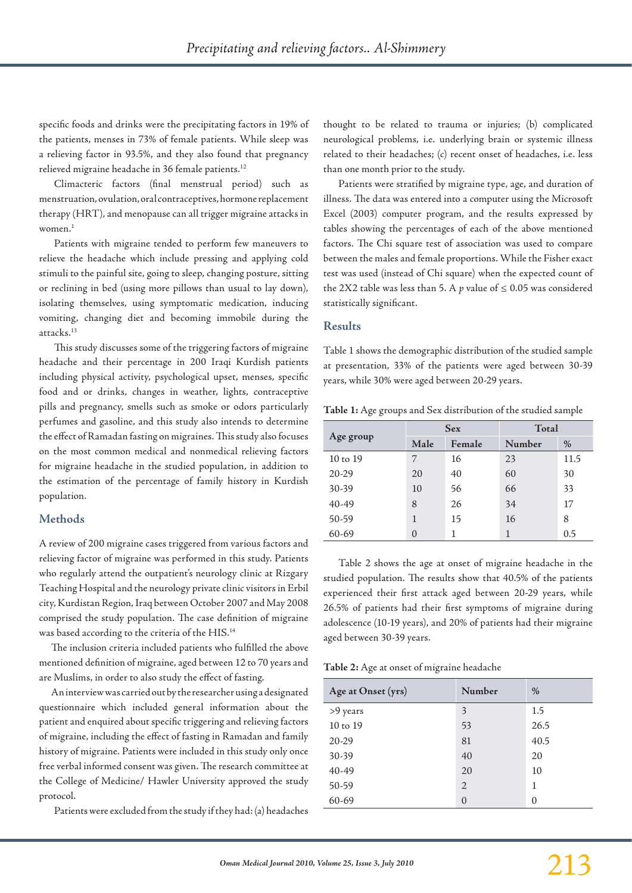specific foods and drinks were the precipitating factors in 19% of the patients, menses in 73% of female patients. While sleep was a relieving factor in 93.5%, and they also found that pregnancy relieved migraine headache in 36 female patients.<sup>12</sup>

Climacteric factors (final menstrual period) such as menstruation, ovulation, oral contraceptives, hormone replacement therapy (HRT), and menopause can all trigger migraine attacks in women. $<sup>1</sup>$ </sup>

Patients with migraine tended to perform few maneuvers to relieve the headache which include pressing and applying cold stimuli to the painful site, going to sleep, changing posture, sitting or reclining in bed (using more pillows than usual to lay down), isolating themselves, using symptomatic medication, inducing vomiting, changing diet and becoming immobile during the attacks.13

This study discusses some of the triggering factors of migraine headache and their percentage in 200 Iraqi Kurdish patients including physical activity, psychological upset, menses, specific food and or drinks, changes in weather, lights, contraceptive pills and pregnancy, smells such as smoke or odors particularly perfumes and gasoline, and this study also intends to determine the effect of Ramadan fasting on migraines. This study also focuses on the most common medical and nonmedical relieving factors for migraine headache in the studied population, in addition to the estimation of the percentage of family history in Kurdish population.

### **Methods**

A review of 200 migraine cases triggered from various factors and relieving factor of migraine was performed in this study. Patients who regularly attend the outpatient's neurology clinic at Rizgary Teaching Hospital and the neurology private clinic visitors in Erbil city, Kurdistan Region, Iraq between October 2007 and May 2008 comprised the study population. The case definition of migraine was based according to the criteria of the HIS.14

The inclusion criteria included patients who fulfilled the above mentioned definition of migraine, aged between 12 to 70 years and are Muslims, in order to also study the effect of fasting.

An interview was carried out by the researcher using a designated questionnaire which included general information about the patient and enquired about specific triggering and relieving factors of migraine, including the effect of fasting in Ramadan and family history of migraine. Patients were included in this study only once free verbal informed consent was given. The research committee at the College of Medicine/ Hawler University approved the study protocol.

Patients were excluded from the study if they had: (a) headaches

thought to be related to trauma or injuries; (b) complicated neurological problems, i.e. underlying brain or systemic illness related to their headaches; (c) recent onset of headaches, i.e. less than one month prior to the study.

Patients were stratified by migraine type, age, and duration of illness. The data was entered into a computer using the Microsoft Excel (2003) computer program, and the results expressed by tables showing the percentages of each of the above mentioned factors. The Chi square test of association was used to compare between the males and female proportions. While the Fisher exact test was used (instead of Chi square) when the expected count of the 2X2 table was less than 5. A  $p$  value of  $\leq 0.05$  was considered statistically significant.

### **Results**

Table 1 shows the demographic distribution of the studied sample at presentation, 33% of the patients were aged between 30-39 years, while 30% were aged between 20-29 years.

**Table 1:** Age groups and Sex distribution of the studied sample

|                     |          | <b>Sex</b> | Total  |      |
|---------------------|----------|------------|--------|------|
| Age group           | Male     | Female     | Number | $\%$ |
| $10 \text{ to } 19$ | 7        | 16         | 23     | 11.5 |
| 20-29               | 20       | 40         | 60     | 30   |
| 30-39               | 10       | 56         | 66     | 33   |
| 40-49               | 8        | 26         | 34     | 17   |
| 50-59               | 1        | 15         | 16     | 8    |
| 60-69               | $\Omega$ |            |        | 0.5  |

Table 2 shows the age at onset of migraine headache in the studied population. The results show that 40.5% of the patients experienced their first attack aged between 20-29 years, while 26.5% of patients had their first symptoms of migraine during adolescence (10-19 years), and 20% of patients had their migraine aged between 30-39 years.

**Table 2:** Age at onset of migraine headache

| Age at Onset (yrs) | Number   | $\%$     |
|--------------------|----------|----------|
| >9 years           | 3        | 1.5      |
| 10 to 19           | 53       | 26.5     |
| 20-29              | 81       | 40.5     |
| 30-39              | 40       | 20       |
| 40-49              | 20       | 10       |
| 50-59              | 2        | 1        |
| 60-69              | $\Omega$ | $\theta$ |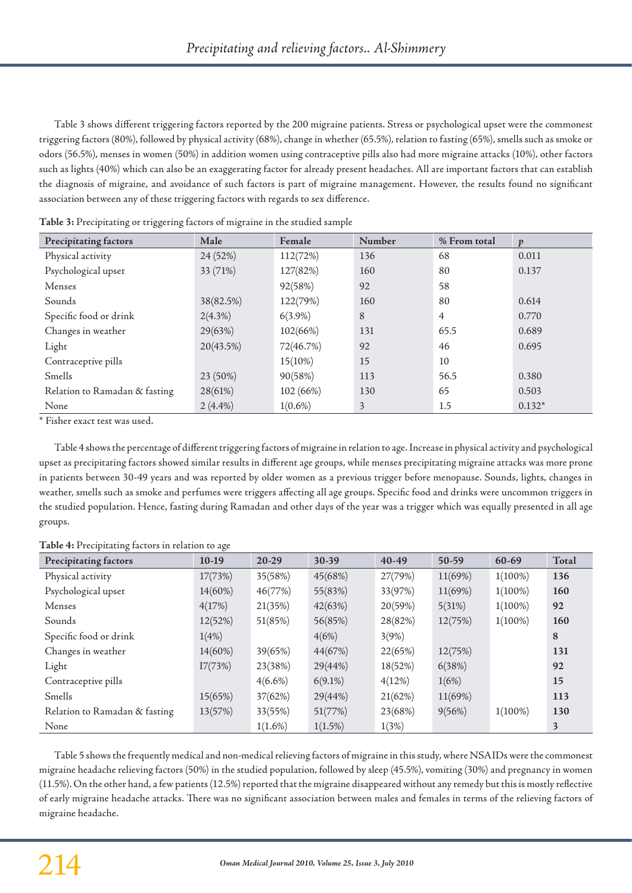Table 3 shows different triggering factors reported by the 200 migraine patients. Stress or psychological upset were the commonest triggering factors (80%), followed by physical activity (68%), change in whether (65.5%), relation to fasting (65%), smells such as smoke or odors (56.5%), menses in women (50%) in addition women using contraceptive pills also had more migraine attacks (10%), other factors such as lights (40%) which can also be an exaggerating factor for already present headaches. All are important factors that can establish the diagnosis of migraine, and avoidance of such factors is part of migraine management. However, the results found no significant association between any of these triggering factors with regards to sex difference.

| Precipitating factors         | Male       | Female     | Number | % From total | $\boldsymbol{v}$ |
|-------------------------------|------------|------------|--------|--------------|------------------|
| Physical activity             | 24 (52%)   | 112(72%)   | 136    | 68           | 0.011            |
| Psychological upset           | 33 (71%)   | 127(82%)   | 160    | 80           | 0.137            |
| Menses                        |            | 92(58%)    | 92     | 58           |                  |
| Sounds                        | 38(82.5%)  | 122(79%)   | 160    | 80           | 0.614            |
| Specific food or drink        | 2(4.3%)    | $6(3.9\%)$ | 8      | 4            | 0.770            |
| Changes in weather            | 29(63%)    | 102(66%)   | 131    | 65.5         | 0.689            |
| Light                         | 20(43.5%)  | 72(46.7%)  | 92     | 46           | 0.695            |
| Contraceptive pills           |            | 15(10%)    | 15     | 10           |                  |
| Smells                        | 23 (50%)   | 90(58%)    | 113    | 56.5         | 0.380            |
| Relation to Ramadan & fasting | 28(61%)    | 102 (66%)  | 130    | 65           | 0.503            |
| None                          | $2(4.4\%)$ | $1(0.6\%)$ | 3      | 1.5          | $0.132*$         |

|  |  |  | Table 3: Precipitating or triggering factors of migraine in the studied sample |
|--|--|--|--------------------------------------------------------------------------------|
|  |  |  |                                                                                |

\* Fisher exact test was used.

Table 4 shows the percentage of different triggering factors of migraine in relation to age. Increase in physical activity and psychological upset as precipitating factors showed similar results in different age groups, while menses precipitating migraine attacks was more prone in patients between 30-49 years and was reported by older women as a previous trigger before menopause. Sounds, lights, changes in weather, smells such as smoke and perfumes were triggers affecting all age groups. Specific food and drinks were uncommon triggers in the studied population. Hence, fasting during Ramadan and other days of the year was a trigger which was equally presented in all age groups.

**Table 4:** Precipitating factors in relation to age

| Precipitating factors         | $10-19$ | $20-29$    | 30-39      | 40-49   | $50-59$ | 60-69      | Total |
|-------------------------------|---------|------------|------------|---------|---------|------------|-------|
| Physical activity             | 17(73%) | 35(58%)    | 45(68%)    | 27(79%) | 11(69%) | $1(100\%)$ | 136   |
| Psychological upset           | 14(60%) | 46(77%)    | 55(83%)    | 33(97%) | 11(69%) | $1(100\%)$ | 160   |
| Menses                        | 4(17%)  | 21(35%)    | 42(63%)    | 20(59%) | 5(31%)  | $1(100\%)$ | 92    |
| Sounds                        | 12(52%) | 51(85%)    | 56(85%)    | 28(82%) | 12(75%) | $1(100\%)$ | 160   |
| Specific food or drink        | 1(4%)   |            | 4(6%)      | 3(9%)   |         |            | 8     |
| Changes in weather            | 14(60%) | 39(65%)    | 44(67%)    | 22(65%) | 12(75%) |            | 131   |
| Light                         | I7(73%) | 23(38%)    | 29(44%)    | 18(52%) | 6(38%)  |            | 92    |
| Contraceptive pills           |         | $4(6.6\%)$ | $6(9.1\%)$ | 4(12%)  | 1(6%)   |            | 15    |
| Smells                        | 15(65%) | 37(62%)    | 29(44%)    | 21(62%) | 11(69%) |            | 113   |
| Relation to Ramadan & fasting | 13(57%) | 33(55%)    | 51(77%)    | 23(68%) | 9(56%)  | $1(100\%)$ | 130   |
| None                          |         | $1(1.6\%)$ | $1(1.5\%)$ | 1(3%)   |         |            | 3     |

Table 5 shows the frequently medical and non-medical relieving factors of migraine in this study, where NSAIDs were the commonest migraine headache relieving factors (50%) in the studied population, followed by sleep (45.5%), vomiting (30%) and pregnancy in women (11.5%). On the other hand, a few patients (12.5%) reported that the migraine disappeared without any remedy but this is mostly reflective of early migraine headache attacks. There was no significant association between males and females in terms of the relieving factors of migraine headache.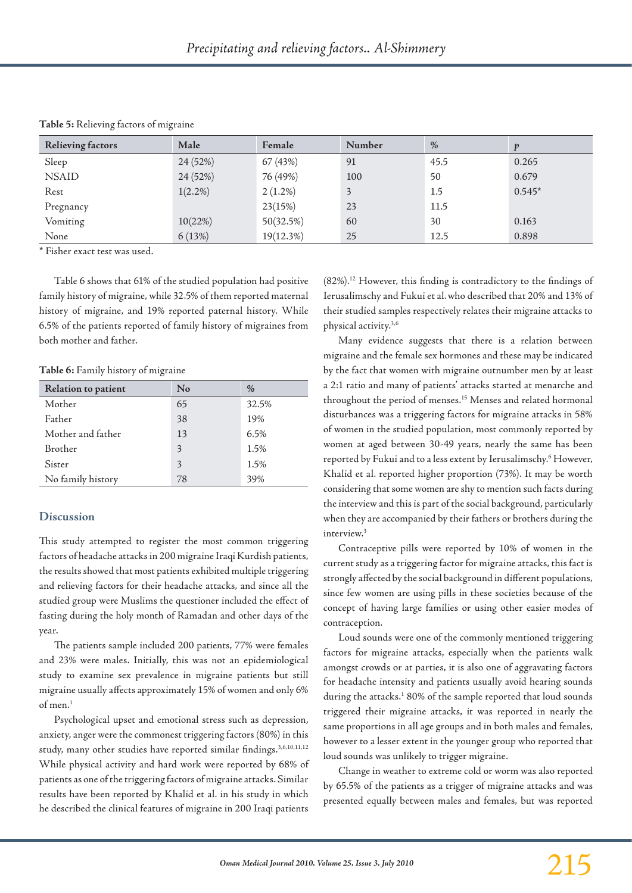| <b>Relieving factors</b> | Male       | Female     | Number | $\%$ | $\boldsymbol{v}$ |
|--------------------------|------------|------------|--------|------|------------------|
| Sleep                    | 24 (52%)   | 67 (43%)   | 91     | 45.5 | 0.265            |
| <b>NSAID</b>             | 24 (52%)   | 76 (49%)   | 100    | 50   | 0.679            |
| Rest                     | $1(2.2\%)$ | $2(1.2\%)$ | 3      | 1.5  | $0.545*$         |
| Pregnancy                |            | 23(15%)    | 23     | 11.5 |                  |
| Vomiting                 | 10(22%)    | 50(32.5%)  | 60     | 30   | 0.163            |
| None                     | 6(13%)     | 19(12.3%)  | 25     | 12.5 | 0.898            |

**Table 5:** Relieving factors of migraine

\* Fisher exact test was used.

Table 6 shows that 61% of the studied population had positive family history of migraine, while 32.5% of them reported maternal history of migraine, and 19% reported paternal history. While 6.5% of the patients reported of family history of migraines from both mother and father.

**Table 6:** Family history of migraine

| Relation to patient | $\rm No$ | $\frac{0}{0}$ |
|---------------------|----------|---------------|
| Mother              | 65       | 32.5%         |
| Father              | 38       | 19%           |
| Mother and father   | 13       | 6.5%          |
| <b>Brother</b>      | 3        | 1.5%          |
| Sister              | 3        | 1.5%          |
| No family history   | 78       | 39%           |

#### **Discussion**

This study attempted to register the most common triggering factors of headache attacks in 200 migraine Iraqi Kurdish patients, the results showed that most patients exhibited multiple triggering and relieving factors for their headache attacks, and since all the studied group were Muslims the questioner included the effect of fasting during the holy month of Ramadan and other days of the year.

The patients sample included 200 patients, 77% were females and 23% were males. Initially, this was not an epidemiological study to examine sex prevalence in migraine patients but still migraine usually affects approximately 15% of women and only 6% of men.1

Psychological upset and emotional stress such as depression, anxiety, anger were the commonest triggering factors (80%) in this study, many other studies have reported similar findings.<sup>3,6,10,11,12</sup> While physical activity and hard work were reported by 68% of patients as one of the triggering factors of migraine attacks. Similar results have been reported by Khalid et al. in his study in which he described the clinical features of migraine in 200 Iraqi patients

(82%).12 However, this finding is contradictory to the findings of Ierusalimschy and Fukui et al.who described that 20% and 13% of their studied samples respectively relates their migraine attacks to physical activity.3,6

Many evidence suggests that there is a relation between migraine and the female sex hormones and these may be indicated by the fact that women with migraine outnumber men by at least a 2:1 ratio and many of patients' attacks started at menarche and throughout the period of menses.<sup>15</sup> Menses and related hormonal disturbances was a triggering factors for migraine attacks in 58% of women in the studied population, most commonly reported by women at aged between 30-49 years, nearly the same has been reported by Fukui and to a less extent by Ierusalimschy.6 However, Khalid et al. reported higher proportion (73%). It may be worth considering that some women are shy to mention such facts during the interview and this is part of the social background, particularly when they are accompanied by their fathers or brothers during the interview.3

Contraceptive pills were reported by 10% of women in the current study as a triggering factor for migraine attacks, this fact is strongly affected by the social background in different populations, since few women are using pills in these societies because of the concept of having large families or using other easier modes of contraception.

Loud sounds were one of the commonly mentioned triggering factors for migraine attacks, especially when the patients walk amongst crowds or at parties, it is also one of aggravating factors for headache intensity and patients usually avoid hearing sounds during the attacks.<sup>1</sup> 80% of the sample reported that loud sounds triggered their migraine attacks, it was reported in nearly the same proportions in all age groups and in both males and females, however to a lesser extent in the younger group who reported that loud sounds was unlikely to trigger migraine.

Change in weather to extreme cold or worm was also reported by 65.5% of the patients as a trigger of migraine attacks and was presented equally between males and females, but was reported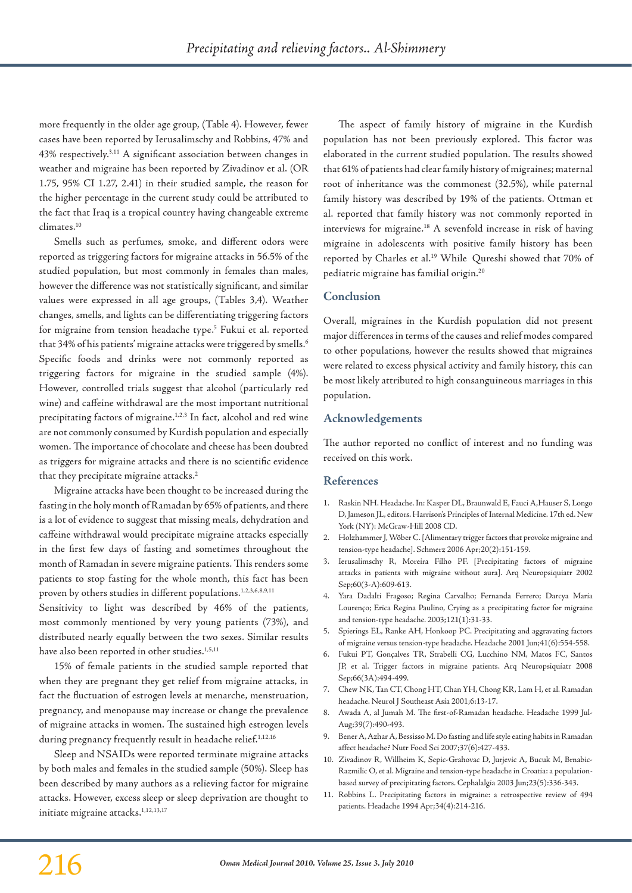more frequently in the older age group, (Table 4). However, fewer cases have been reported by Ierusalimschy and Robbins, 47% and 43% respectively.3,11 A significant association between changes in weather and migraine has been reported by Zivadinov et al. (OR 1.75, 95% CI 1.27, 2.41) in their studied sample, the reason for the higher percentage in the current study could be attributed to the fact that Iraq is a tropical country having changeable extreme climates.10

Smells such as perfumes, smoke, and different odors were reported as triggering factors for migraine attacks in 56.5% of the studied population, but most commonly in females than males, however the difference was not statistically significant, and similar values were expressed in all age groups, (Tables 3,4). Weather changes, smells, and lights can be differentiating triggering factors for migraine from tension headache type.<sup>5</sup> Fukui et al. reported that 34% of his patients' migraine attacks were triggered by smells.<sup>6</sup> Specific foods and drinks were not commonly reported as triggering factors for migraine in the studied sample (4%). However, controlled trials suggest that alcohol (particularly red wine) and caffeine withdrawal are the most important nutritional precipitating factors of migraine.<sup>1,2,3</sup> In fact, alcohol and red wine are not commonly consumed by Kurdish population and especially women. The importance of chocolate and cheese has been doubted as triggers for migraine attacks and there is no scientific evidence that they precipitate migraine attacks.<sup>2</sup>

Migraine attacks have been thought to be increased during the fasting in the holy month of Ramadan by 65% of patients, and there is a lot of evidence to suggest that missing meals, dehydration and caffeine withdrawal would precipitate migraine attacks especially in the first few days of fasting and sometimes throughout the month of Ramadan in severe migraine patients. This renders some patients to stop fasting for the whole month, this fact has been proven by others studies in different populations.<sup>1,2,3,6,8,9,11</sup>

Sensitivity to light was described by 46% of the patients, most commonly mentioned by very young patients (73%), and distributed nearly equally between the two sexes. Similar results have also been reported in other studies.<sup>1,5,11</sup>

15% of female patients in the studied sample reported that when they are pregnant they get relief from migraine attacks, in fact the fluctuation of estrogen levels at menarche, menstruation, pregnancy, and menopause may increase or change the prevalence of migraine attacks in women. The sustained high estrogen levels during pregnancy frequently result in headache relief.<sup>1,12,16</sup>

Sleep and NSAIDs were reported terminate migraine attacks by both males and females in the studied sample (50%). Sleep has been described by many authors as a relieving factor for migraine attacks. However, excess sleep or sleep deprivation are thought to initiate migraine attacks.<sup>1,12,13,17</sup>

The aspect of family history of migraine in the Kurdish population has not been previously explored. This factor was elaborated in the current studied population. The results showed that 61% of patients had clear family history of migraines; maternal root of inheritance was the commonest (32.5%), while paternal family history was described by 19% of the patients. Ottman et al. reported that family history was not commonly reported in interviews for migraine.18 A sevenfold increase in risk of having migraine in adolescents with positive family history has been reported by Charles et al.<sup>19</sup> While Qureshi showed that 70% of pediatric migraine has familial origin.20

# **Conclusion**

Overall, migraines in the Kurdish population did not present major differences in terms of the causes and relief modes compared to other populations, however the results showed that migraines were related to excess physical activity and family history, this can be most likely attributed to high consanguineous marriages in this population.

## **Acknowledgements**

The author reported no conflict of interest and no funding was received on this work.

### **References**

- 1. Raskin NH. Headache. In: Kasper DL, Braunwald E, Fauci A,Hauser S, Longo D, Jameson JL, editors. Harrison's Principles of Internal Medicine. 17th ed. New York (NY): McGraw-Hill 2008 CD.
- 2. Holzhammer J, Wöber C. [Alimentary trigger factors that provoke migraine and tension-type headache]. Schmerz 2006 Apr;20(2):151-159.
- 3. Ierusalimschy R, Moreira Filho PF. [Precipitating factors of migraine attacks in patients with migraine without aura]. Arq Neuropsiquiatr 2002 Sep;60(3-A):609-613.
- 4. Yara Dadalti Fragoso; Regina Carvalho; Fernanda Ferrero; Darcya Maria Lourenço; Erica Regina Paulino, Crying as a precipitating factor for migraine and tension-type headache. 2003;121(1):31-33.
- 5. Spierings EL, Ranke AH, Honkoop PC. Precipitating and aggravating factors of migraine versus tension-type headache. Headache 2001 Jun;41(6):554-558.
- 6. Fukui PT, Gonçalves TR, Strabelli CG, Lucchino NM, Matos FC, Santos JP, et al. Trigger factors in migraine patients. Arq Neuropsiquiatr 2008 Sep;66(3A):494-499.
- 7. Chew NK, Tan CT, Chong HT, Chan YH, Chong KR, Lam H, et al. Ramadan headache. Neurol J Southeast Asia 2001;6:13-17.
- 8. Awada A, al Jumah M. The first-of-Ramadan headache. Headache 1999 Jul-Aug;39(7):490-493.
- 9. Bener A, Azhar A, Bessisso M. Do fasting and life style eating habits in Ramadan affect headache? Nutr Food Sci 2007;37(6):427-433.
- 10. Zivadinov R, Willheim K, Sepic-Grahovac D, Jurjevic A, Bucuk M, Brnabic-Razmilic O, et al. Migraine and tension-type headache in Croatia: a populationbased survey of precipitating factors. Cephalalgia 2003 Jun;23(5):336-343.
- 11. Robbins L. Precipitating factors in migraine: a retrospective review of 494 patients. Headache 1994 Apr;34(4):214-216.